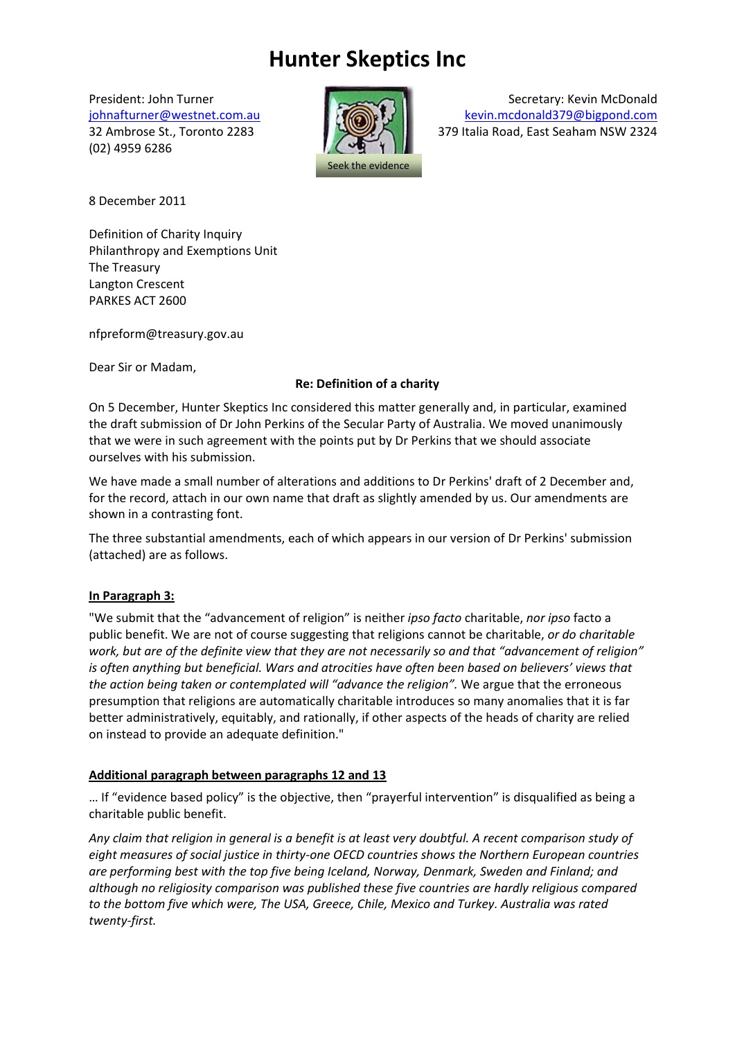# **Hunter Skeptics Inc**

(02) 4959 6286



President: John Turner Secretary: Kevin McDonald [johnafturner@westnet.com.au](mailto:johnafturner@westnet.com.au) [kevin.mcdonald379@bigpond.com](mailto:kevin.mcdonald379@bigpond.com) 32 Ambrose St., Toronto 2283 379 Italia Road, East Seaham NSW 2324

8 December 2011

Definition of Charity Inquiry Philanthropy and Exemptions Unit The Treasury Langton Crescent PARKES ACT 2600

nfpreform@treasury.gov.au

Dear Sir or Madam,

# **Re: Definition of a charity**

On 5 December, Hunter Skeptics Inc considered this matter generally and, in particular, examined the draft submission of Dr John Perkins of the Secular Party of Australia. We moved unanimously that we were in such agreement with the points put by Dr Perkins that we should associate ourselves with his submission.

We have made a small number of alterations and additions to Dr Perkins' draft of 2 December and, for the record, attach in our own name that draft as slightly amended by us. Our amendments are shown in a contrasting font.

The three substantial amendments, each of which appears in our version of Dr Perkins' submission (attached) are as follows.

#### **In Paragraph 3:**

"We submit that the "advancement of religion" is neither *ipso facto* charitable, *nor ipso* facto a public benefit. We are not of course suggesting that religions cannot be charitable, *or do charitable work, but are of the definite view that they are not necessarily so and that "advancement of religion" is often anything but beneficial. Wars and atrocities have often been based on believers' views that the action being taken or contemplated will "advance the religion".* We argue that the erroneous presumption that religions are automatically charitable introduces so many anomalies that it is far better administratively, equitably, and rationally, if other aspects of the heads of charity are relied on instead to provide an adequate definition."

# **Additional paragraph between paragraphs 12 and 13**

… If "evidence based policy" is the objective, then "prayerful intervention" is disqualified as being a charitable public benefit.

*Any claim that religion in general is a benefit is at least very doubtful. A recent comparison study of eight measures of social justice in thirty-one OECD countries shows the Northern European countries are performing best with the top five being Iceland, Norway, Denmark, Sweden and Finland; and although no religiosity comparison was published these five countries are hardly religious compared to the bottom five which were, The USA, Greece, Chile, Mexico and Turkey. Australia was rated twenty-first.*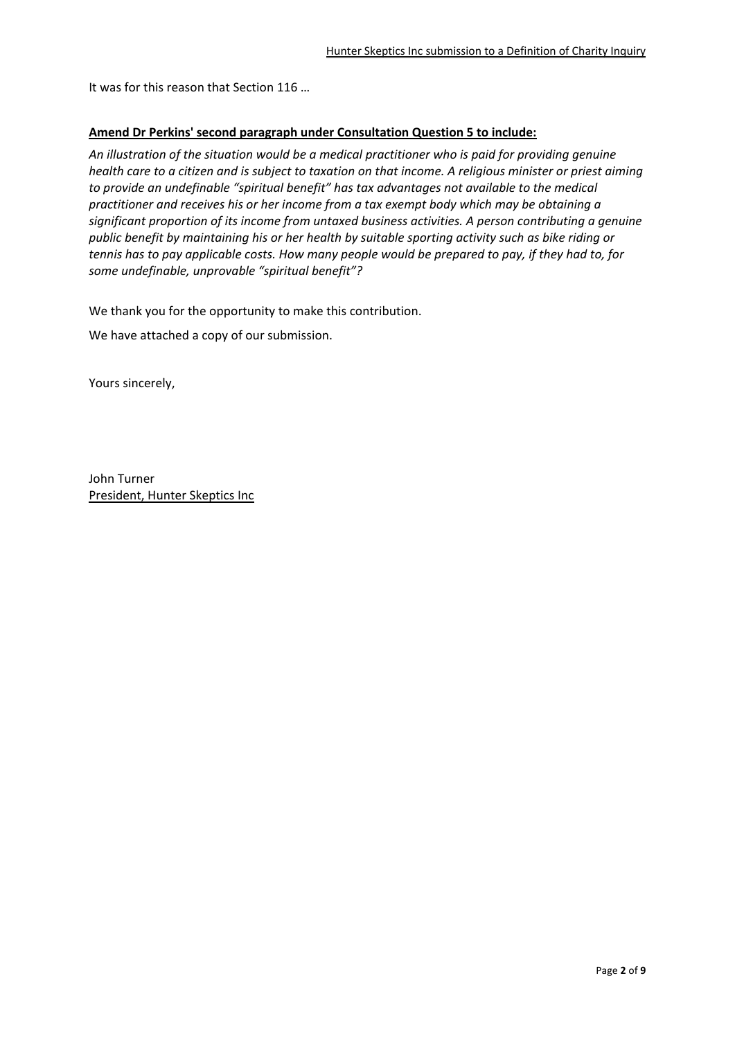It was for this reason that Section 116 …

#### **Amend Dr Perkins' second paragraph under Consultation Question 5 to include:**

*An illustration of the situation would be a medical practitioner who is paid for providing genuine health care to a citizen and is subject to taxation on that income. A religious minister or priest aiming to provide an undefinable "spiritual benefit" has tax advantages not available to the medical practitioner and receives his or her income from a tax exempt body which may be obtaining a significant proportion of its income from untaxed business activities. A person contributing a genuine public benefit by maintaining his or her health by suitable sporting activity such as bike riding or tennis has to pay applicable costs. How many people would be prepared to pay, if they had to, for some undefinable, unprovable "spiritual benefit"?* 

We thank you for the opportunity to make this contribution.

We have attached a copy of our submission.

Yours sincerely,

John Turner President, Hunter Skeptics Inc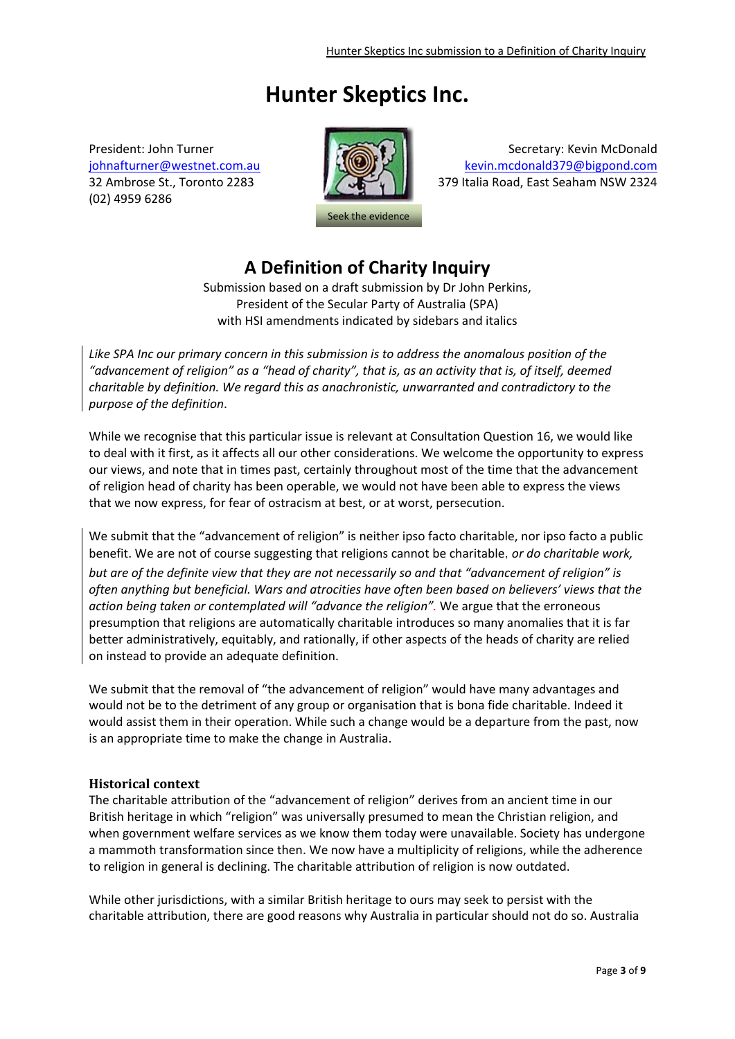# **Hunter Skeptics Inc.**

(02) 4959 6286



President: John Turner Secretary: Kevin McDonald [johnafturner@westnet.com.au](mailto:johnafturner@westnet.com.au) [kevin.mcdonald379@bigpond.com](mailto:kevin.mcdonald379@bigpond.com) 32 Ambrose St., Toronto 2283 379 Italia Road, East Seaham NSW 2324

# **A Definition of Charity Inquiry**

Submission based on a draft submission by Dr John Perkins, President of the Secular Party of Australia (SPA) with HSI amendments indicated by sidebars and italics

*Like SPA Inc our primary concern in this submission is to address the anomalous position of the "advancement of religion" as a "head of charity", that is, as an activity that is, of itself, deemed charitable by definition. We regard this as anachronistic, unwarranted and contradictory to the purpose of the definition*.

While we recognise that this particular issue is relevant at Consultation Question 16, we would like to deal with it first, as it affects all our other considerations. We welcome the opportunity to express our views, and note that in times past, certainly throughout most of the time that the advancement of religion head of charity has been operable, we would not have been able to express the views that we now express, for fear of ostracism at best, or at worst, persecution.

We submit that the "advancement of religion" is neither ipso facto charitable, nor ipso facto a public benefit. We are not of course suggesting that religions cannot be charitable, *or do charitable work, but are of the definite view that they are not necessarily so and that "advancement of religion" is often anything but beneficial. Wars and atrocities have often been based on believers' views that the action being taken or contemplated will "advance the religion".* We argue that the erroneous presumption that religions are automatically charitable introduces so many anomalies that it is far better administratively, equitably, and rationally, if other aspects of the heads of charity are relied on instead to provide an adequate definition.

We submit that the removal of "the advancement of religion" would have many advantages and would not be to the detriment of any group or organisation that is bona fide charitable. Indeed it would assist them in their operation. While such a change would be a departure from the past, now is an appropriate time to make the change in Australia.

#### **Historical context**

The charitable attribution of the "advancement of religion" derives from an ancient time in our British heritage in which "religion" was universally presumed to mean the Christian religion, and when government welfare services as we know them today were unavailable. Society has undergone a mammoth transformation since then. We now have a multiplicity of religions, while the adherence to religion in general is declining. The charitable attribution of religion is now outdated.

While other jurisdictions, with a similar British heritage to ours may seek to persist with the charitable attribution, there are good reasons why Australia in particular should not do so. Australia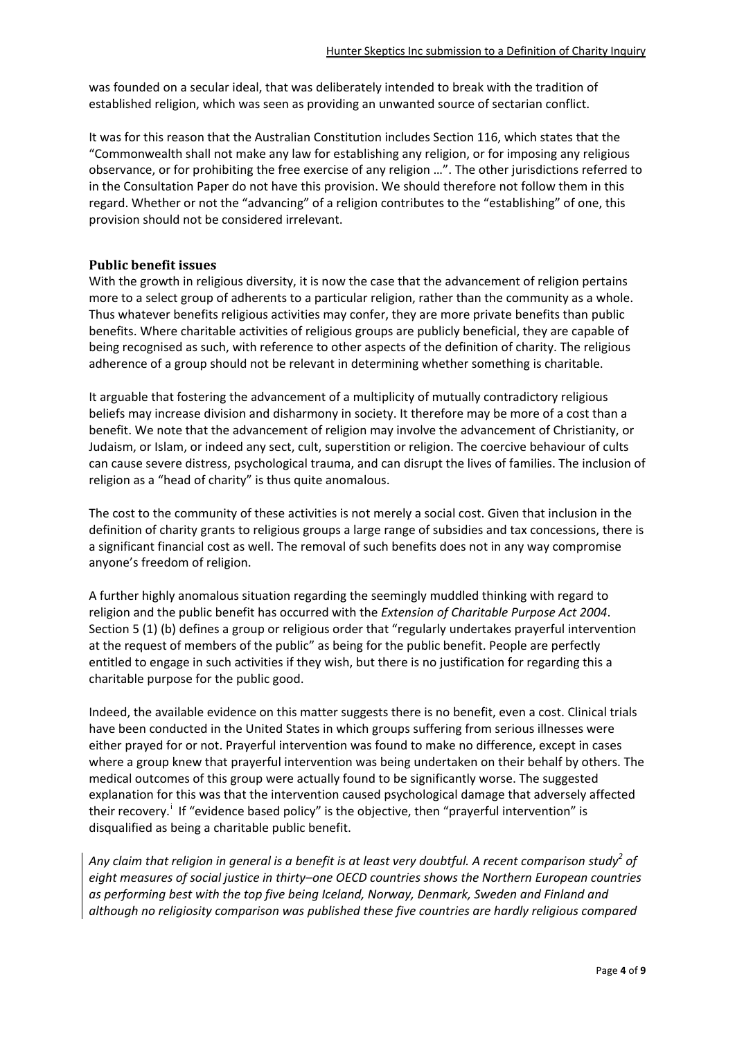was founded on a secular ideal, that was deliberately intended to break with the tradition of established religion, which was seen as providing an unwanted source of sectarian conflict.

It was for this reason that the Australian Constitution includes Section 116, which states that the "Commonwealth shall not make any law for establishing any religion, or for imposing any religious observance, or for prohibiting the free exercise of any religion …". The other jurisdictions referred to in the Consultation Paper do not have this provision. We should therefore not follow them in this regard. Whether or not the "advancing" of a religion contributes to the "establishing" of one, this provision should not be considered irrelevant.

#### **Public benefit issues**

With the growth in religious diversity, it is now the case that the advancement of religion pertains more to a select group of adherents to a particular religion, rather than the community as a whole. Thus whatever benefits religious activities may confer, they are more private benefits than public benefits. Where charitable activities of religious groups are publicly beneficial, they are capable of being recognised as such, with reference to other aspects of the definition of charity. The religious adherence of a group should not be relevant in determining whether something is charitable.

It arguable that fostering the advancement of a multiplicity of mutually contradictory religious beliefs may increase division and disharmony in society. It therefore may be more of a cost than a benefit. We note that the advancement of religion may involve the advancement of Christianity, or Judaism, or Islam, or indeed any sect, cult, superstition or religion. The coercive behaviour of cults can cause severe distress, psychological trauma, and can disrupt the lives of families. The inclusion of religion as a "head of charity" is thus quite anomalous.

The cost to the community of these activities is not merely a social cost. Given that inclusion in the definition of charity grants to religious groups a large range of subsidies and tax concessions, there is a significant financial cost as well. The removal of such benefits does not in any way compromise anyone's freedom of religion.

A further highly anomalous situation regarding the seemingly muddled thinking with regard to religion and the public benefit has occurred with the *Extension of Charitable Purpose Act 2004*. Section 5 (1) (b) defines a group or religious order that "regularly undertakes prayerful intervention at the request of members of the public" as being for the public benefit. People are perfectly entitled to engage in such activities if they wish, but there is no justification for regarding this a charitable purpose for the public good.

Indeed, the available evidence on this matter suggests there is no benefit, even a cost. Clinical trials have been conducted in the United States in which groups suffering from serious illnesses were either prayed for or not. Prayerful intervention was found to make no difference, except in cases where a group knew that prayerful intervention was being undertaken on their behalf by others. The medical outcomes of this group were actually found to be significantly worse. The suggested explanation for this was that the intervention caused psychological damage that adversely affected the[i](#page-8-0)r recovery.<sup>i</sup> If "evidence based policy" is the objective, then "prayerful intervention" is disqualified as being a charitable public benefit.

*Any claim that religion in general is a benefit is at least very doubtful. A recent comparison study<sup>2</sup> of eight measures of social justice in thirty–one OECD countries shows the Northern European countries as performing best with the top five being Iceland, Norway, Denmark, Sweden and Finland and although no religiosity comparison was published these five countries are hardly religious compared*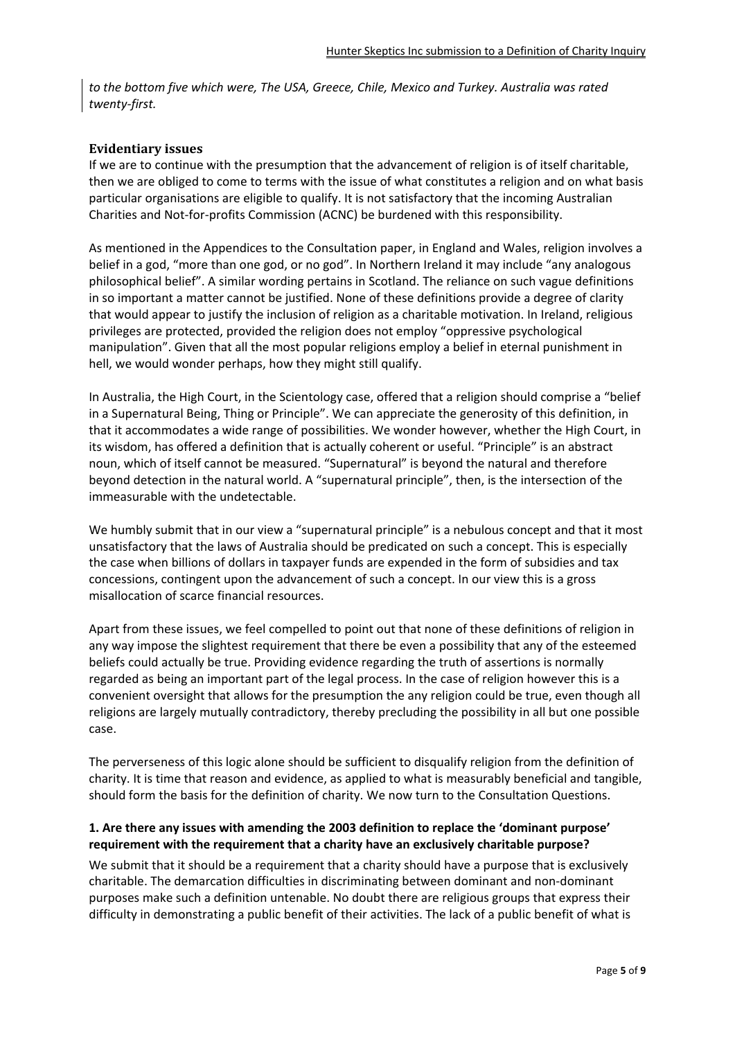*to the bottom five which were, The USA, Greece, Chile, Mexico and Turkey. Australia was rated twenty-first.*

#### **Evidentiary issues**

If we are to continue with the presumption that the advancement of religion is of itself charitable, then we are obliged to come to terms with the issue of what constitutes a religion and on what basis particular organisations are eligible to qualify. It is not satisfactory that the incoming Australian Charities and Not-for-profits Commission (ACNC) be burdened with this responsibility.

As mentioned in the Appendices to the Consultation paper, in England and Wales, religion involves a belief in a god, "more than one god, or no god". In Northern Ireland it may include "any analogous philosophical belief". A similar wording pertains in Scotland. The reliance on such vague definitions in so important a matter cannot be justified. None of these definitions provide a degree of clarity that would appear to justify the inclusion of religion as a charitable motivation. In Ireland, religious privileges are protected, provided the religion does not employ "oppressive psychological manipulation". Given that all the most popular religions employ a belief in eternal punishment in hell, we would wonder perhaps, how they might still qualify.

In Australia, the High Court, in the Scientology case, offered that a religion should comprise a "belief in a Supernatural Being, Thing or Principle". We can appreciate the generosity of this definition, in that it accommodates a wide range of possibilities. We wonder however, whether the High Court, in its wisdom, has offered a definition that is actually coherent or useful. "Principle" is an abstract noun, which of itself cannot be measured. "Supernatural" is beyond the natural and therefore beyond detection in the natural world. A "supernatural principle", then, is the intersection of the immeasurable with the undetectable.

We humbly submit that in our view a "supernatural principle" is a nebulous concept and that it most unsatisfactory that the laws of Australia should be predicated on such a concept. This is especially the case when billions of dollars in taxpayer funds are expended in the form of subsidies and tax concessions, contingent upon the advancement of such a concept. In our view this is a gross misallocation of scarce financial resources.

Apart from these issues, we feel compelled to point out that none of these definitions of religion in any way impose the slightest requirement that there be even a possibility that any of the esteemed beliefs could actually be true. Providing evidence regarding the truth of assertions is normally regarded as being an important part of the legal process. In the case of religion however this is a convenient oversight that allows for the presumption the any religion could be true, even though all religions are largely mutually contradictory, thereby precluding the possibility in all but one possible case.

The perverseness of this logic alone should be sufficient to disqualify religion from the definition of charity. It is time that reason and evidence, as applied to what is measurably beneficial and tangible, should form the basis for the definition of charity. We now turn to the Consultation Questions.

#### **1. Are there any issues with amending the 2003 definition to replace the 'dominant purpose' requirement with the requirement that a charity have an exclusively charitable purpose?**

We submit that it should be a requirement that a charity should have a purpose that is exclusively charitable. The demarcation difficulties in discriminating between dominant and non-dominant purposes make such a definition untenable. No doubt there are religious groups that express their difficulty in demonstrating a public benefit of their activities. The lack of a public benefit of what is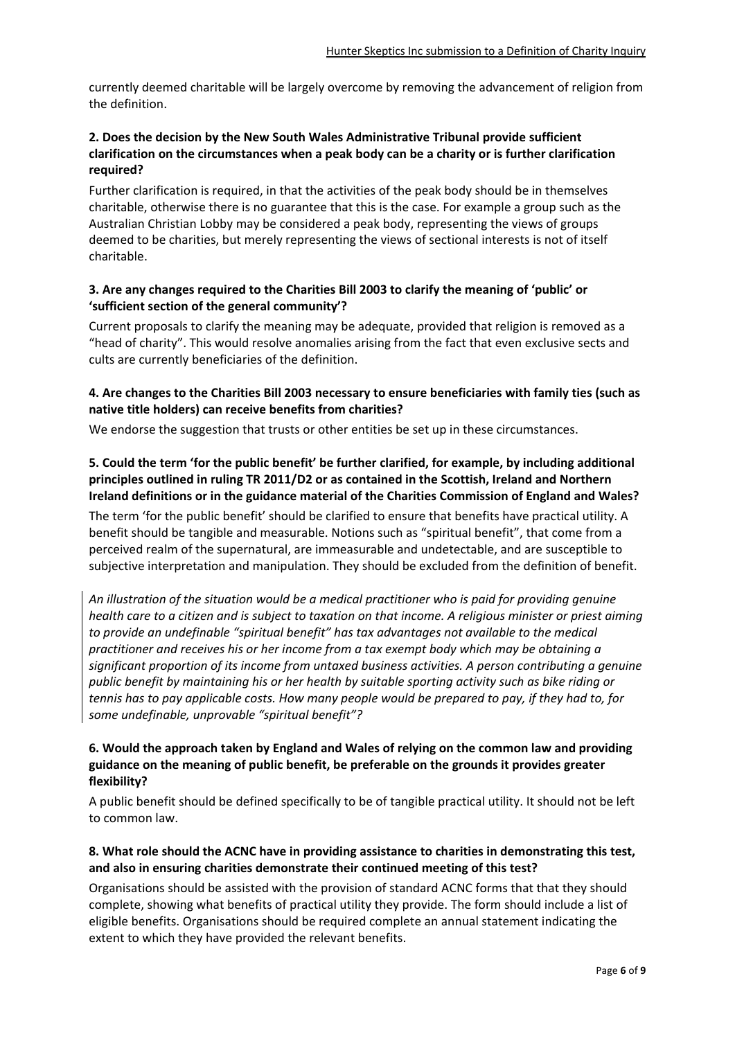currently deemed charitable will be largely overcome by removing the advancement of religion from the definition.

# **2. Does the decision by the New South Wales Administrative Tribunal provide sufficient clarification on the circumstances when a peak body can be a charity or is further clarification required?**

Further clarification is required, in that the activities of the peak body should be in themselves charitable, otherwise there is no guarantee that this is the case. For example a group such as the Australian Christian Lobby may be considered a peak body, representing the views of groups deemed to be charities, but merely representing the views of sectional interests is not of itself charitable.

#### **3. Are any changes required to the Charities Bill 2003 to clarify the meaning of 'public' or 'sufficient section of the general community'?**

Current proposals to clarify the meaning may be adequate, provided that religion is removed as a "head of charity". This would resolve anomalies arising from the fact that even exclusive sects and cults are currently beneficiaries of the definition.

# **4. Are changes to the Charities Bill 2003 necessary to ensure beneficiaries with family ties (such as native title holders) can receive benefits from charities?**

We endorse the suggestion that trusts or other entities be set up in these circumstances.

# **5. Could the term 'for the public benefit' be further clarified, for example, by including additional principles outlined in ruling TR 2011/D2 or as contained in the Scottish, Ireland and Northern Ireland definitions or in the guidance material of the Charities Commission of England and Wales?**

The term 'for the public benefit' should be clarified to ensure that benefits have practical utility. A benefit should be tangible and measurable. Notions such as "spiritual benefit", that come from a perceived realm of the supernatural, are immeasurable and undetectable, and are susceptible to subjective interpretation and manipulation. They should be excluded from the definition of benefit.

*An illustration of the situation would be a medical practitioner who is paid for providing genuine health care to a citizen and is subject to taxation on that income. A religious minister or priest aiming to provide an undefinable "spiritual benefit" has tax advantages not available to the medical practitioner and receives his or her income from a tax exempt body which may be obtaining a significant proportion of its income from untaxed business activities. A person contributing a genuine public benefit by maintaining his or her health by suitable sporting activity such as bike riding or tennis has to pay applicable costs. How many people would be prepared to pay, if they had to, for some undefinable, unprovable "spiritual benefit"?* 

#### **6. Would the approach taken by England and Wales of relying on the common law and providing guidance on the meaning of public benefit, be preferable on the grounds it provides greater flexibility?**

A public benefit should be defined specifically to be of tangible practical utility. It should not be left to common law.

# **8. What role should the ACNC have in providing assistance to charities in demonstrating this test, and also in ensuring charities demonstrate their continued meeting of this test?**

Organisations should be assisted with the provision of standard ACNC forms that that they should complete, showing what benefits of practical utility they provide. The form should include a list of eligible benefits. Organisations should be required complete an annual statement indicating the extent to which they have provided the relevant benefits.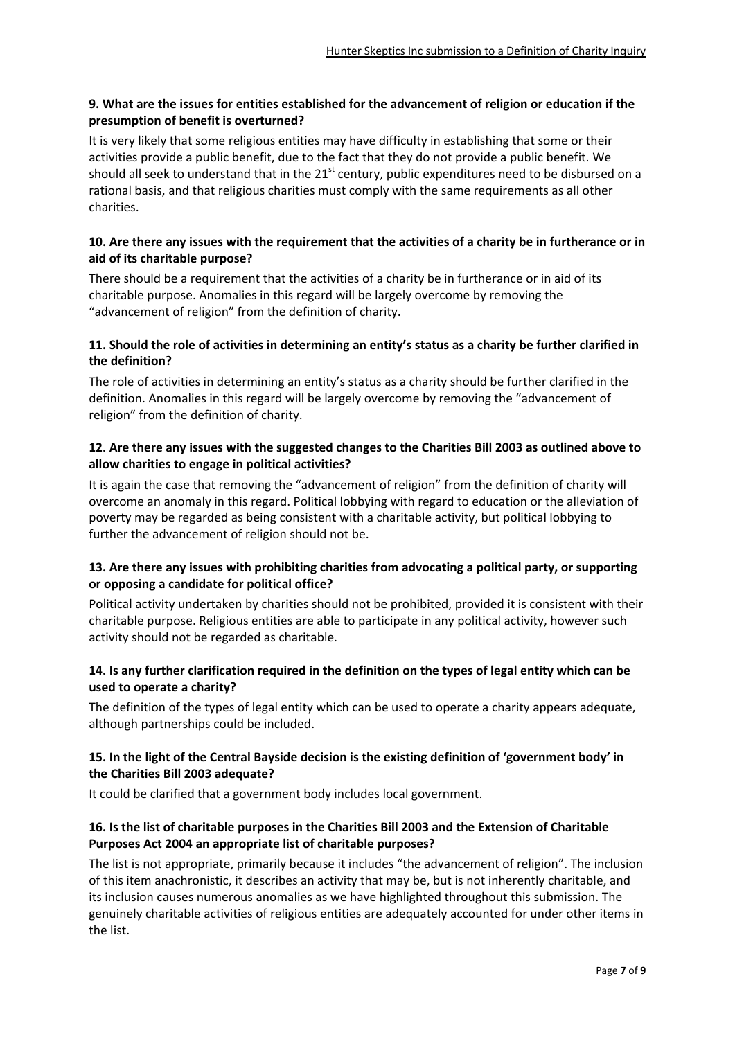# **9. What are the issues for entities established for the advancement of religion or education if the presumption of benefit is overturned?**

It is very likely that some religious entities may have difficulty in establishing that some or their activities provide a public benefit, due to the fact that they do not provide a public benefit. We should all seek to understand that in the 21<sup>st</sup> century, public expenditures need to be disbursed on a rational basis, and that religious charities must comply with the same requirements as all other charities.

### **10. Are there any issues with the requirement that the activities of a charity be in furtherance or in aid of its charitable purpose?**

There should be a requirement that the activities of a charity be in furtherance or in aid of its charitable purpose. Anomalies in this regard will be largely overcome by removing the "advancement of religion" from the definition of charity.

# **11. Should the role of activities in determining an entity's status as a charity be further clarified in the definition?**

The role of activities in determining an entity's status as a charity should be further clarified in the definition. Anomalies in this regard will be largely overcome by removing the "advancement of religion" from the definition of charity.

# **12. Are there any issues with the suggested changes to the Charities Bill 2003 as outlined above to allow charities to engage in political activities?**

It is again the case that removing the "advancement of religion" from the definition of charity will overcome an anomaly in this regard. Political lobbying with regard to education or the alleviation of poverty may be regarded as being consistent with a charitable activity, but political lobbying to further the advancement of religion should not be.

# **13. Are there any issues with prohibiting charities from advocating a political party, or supporting or opposing a candidate for political office?**

Political activity undertaken by charities should not be prohibited, provided it is consistent with their charitable purpose. Religious entities are able to participate in any political activity, however such activity should not be regarded as charitable.

# **14. Is any further clarification required in the definition on the types of legal entity which can be used to operate a charity?**

The definition of the types of legal entity which can be used to operate a charity appears adequate, although partnerships could be included.

#### **15. In the light of the Central Bayside decision is the existing definition of 'government body' in the Charities Bill 2003 adequate?**

It could be clarified that a government body includes local government.

# **16. Is the list of charitable purposes in the Charities Bill 2003 and the Extension of Charitable Purposes Act 2004 an appropriate list of charitable purposes?**

The list is not appropriate, primarily because it includes "the advancement of religion". The inclusion of this item anachronistic, it describes an activity that may be, but is not inherently charitable, and its inclusion causes numerous anomalies as we have highlighted throughout this submission. The genuinely charitable activities of religious entities are adequately accounted for under other items in the list.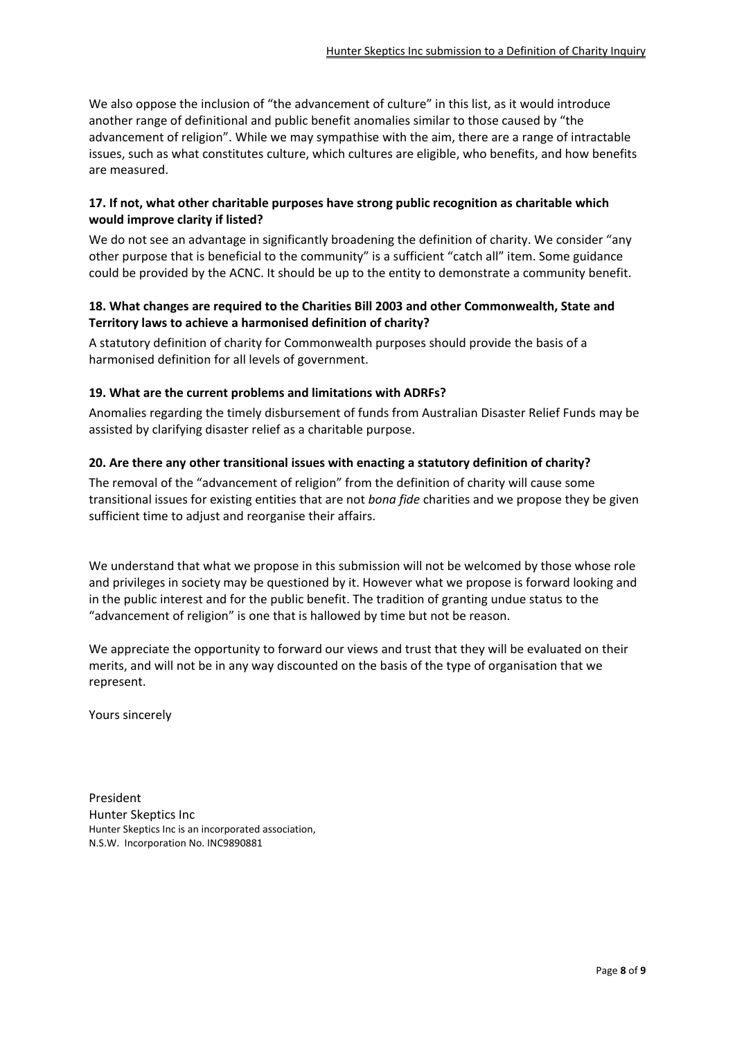We also oppose the inclusion of "the advancement of culture" in this list, as it would introduce another range of definitional and public benefit anomalies similar to those caused by "the advancement of religion". While we may sympathise with the aim, there are a range of intractable issues, such as what constitutes culture, which cultures are eligible, who benefits, and how benefits are measured.

#### **17. If not, what other charitable purposes have strong public recognition as charitable which would improve clarity if listed?**

We do not see an advantage in significantly broadening the definition of charity. We consider "any other purpose that is beneficial to the community" is a sufficient "catch all" item. Some guidance could be provided by the ACNC. It should be up to the entity to demonstrate a community benefit.

#### **18. What changes are required to the Charities Bill 2003 and other Commonwealth, State and Territory laws to achieve a harmonised definition of charity?**

A statutory definition of charity for Commonwealth purposes should provide the basis of a harmonised definition for all levels of government.

#### **19. What are the current problems and limitations with ADRFs?**

Anomalies regarding the timely disbursement of funds from Australian Disaster Relief Funds may be assisted by clarifying disaster relief as a charitable purpose.

#### **20. Are there any other transitional issues with enacting a statutory definition of charity?**

The removal of the "advancement of religion" from the definition of charity will cause some transitional issues for existing entities that are not *bona fide* charities and we propose they be given sufficient time to adjust and reorganise their affairs.

We understand that what we propose in this submission will not be welcomed by those whose role and privileges in society may be questioned by it. However what we propose is forward looking and in the public interest and for the public benefit. The tradition of granting undue status to the "advancement of religion" is one that is hallowed by time but not be reason.

We appreciate the opportunity to forward our views and trust that they will be evaluated on their merits, and will not be in any way discounted on the basis of the type of organisation that we represent.

Yours sincerely

President Hunter Skeptics Inc Hunter Skeptics Inc is an incorporated association, N.S.W. Incorporation No. INC9890881